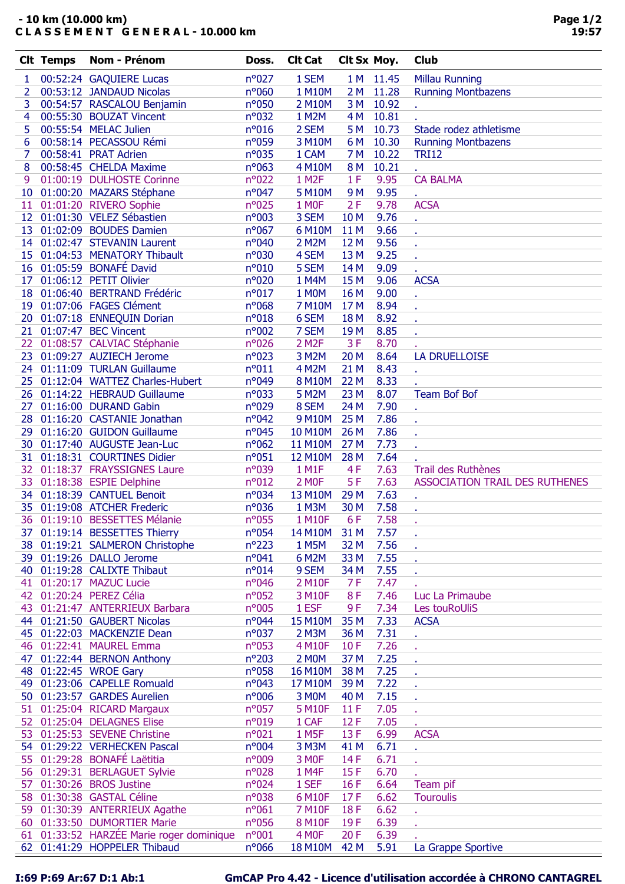## - 10 km (10.000 km) C L A S S E M E N T G E N E R A L - 10.000 km

|    | <b>Clt Temps</b> | Nom - Prénom                          | Doss.          | <b>Clt Cat</b>     | Clt Sx Moy.     |           | <b>Club</b>                           |
|----|------------------|---------------------------------------|----------------|--------------------|-----------------|-----------|---------------------------------------|
| 1  |                  | 00:52:24 GAQUIERE Lucas               | $n^{\circ}027$ | 1 SEM              |                 | 1 M 11.45 | <b>Millau Running</b>                 |
| 2  |                  | 00:53:12 JANDAUD Nicolas              | n°060          | 1 M10M             |                 | 2 M 11.28 | <b>Running Montbazens</b>             |
| 3  |                  | 00:54:57 RASCALOU Benjamin            | n°050          | 2 M10M             | 3 M             | 10.92     |                                       |
| 4  |                  | 00:55:30 BOUZAT Vincent               | n°032          | 1 M2M              | 4 M             | 10.81     |                                       |
| 5  |                  | 00:55:54 MELAC Julien                 | n°016          | 2 SEM              | 5 M             | 10.73     | Stade rodez athletisme                |
| 6  |                  | 00:58:14 PECASSOU Rémi                | n°059          | 3 M10M             | 6 M             | 10.30     | <b>Running Montbazens</b>             |
| 7  |                  | 00:58:41 PRAT Adrien                  | n°035          | 1 CAM              | 7 M             | 10.22     | <b>TRI12</b>                          |
| 8  |                  | 00:58:45 CHELDA Maxime                | $n^{\circ}063$ | 4 M10M             | 8M              | 10.21     |                                       |
| 9  |                  | 01:00:19 DULHOSTE Corinne             | $n^{\circ}022$ | 1 M <sub>2</sub> F | 1F              | 9.95      | <b>CA BALMA</b>                       |
|    |                  | 10 01:00:20 MAZARS Stéphane           | $n^{\circ}047$ | 5 M10M             | 9 M             | 9.95      |                                       |
|    |                  | 11 01:01:20 RIVERO Sophie             | n°025          | 1 MOF              | 2F              | 9.78      | ¥.<br><b>ACSA</b>                     |
|    |                  | 12 01:01:30 VELEZ Sébastien           | n°003          | 3 SEM              | 10 <sub>M</sub> | 9.76      |                                       |
|    |                  | 13 01:02:09 BOUDES Damien             | $n^{\circ}067$ | 6 M10M             | 11 M            | 9.66      |                                       |
|    |                  | 14 01:02:47 STEVANIN Laurent          | n°040          | 2 M2M              | 12 M            | 9.56      | ¥.                                    |
|    |                  | 15 01:04:53 MENATORY Thibault         | n°030          | 4 SEM              | 13 M            | 9.25      | ×.                                    |
|    |                  | 16 01:05:59 BONAFÉ David              |                |                    |                 | 9.09      | ¥.                                    |
|    |                  | 17 01:06:12 PETIT Olivier             | n°010          | 5 SEM              | 14 M            |           | ×.                                    |
|    |                  |                                       | n°020          | 1 M4M              | 15 M            | 9.06      | <b>ACSA</b>                           |
|    |                  | 18 01:06:40 BERTRAND Frédéric         | $n^{\circ}017$ | 1 M0M              | 16 M            | 9.00      |                                       |
|    |                  | 19 01:07:06 FAGES Clément             | $n^{\circ}068$ | 7 M10M             | 17 M            | 8.94      | ×.                                    |
|    |                  | 20 01:07:18 ENNEQUIN Dorian           | $n^{\circ}018$ | 6 SEM              | 18 M            | 8.92      | ×.                                    |
|    |                  | 21 01:07:47 BEC Vincent               | n°002          | 7 SEM              | 19 <sub>M</sub> | 8.85      | ¥.                                    |
|    |                  | 22 01:08:57 CALVIAC Stéphanie         | n°026          | 2 M <sub>2</sub> F | 3F              | 8.70      |                                       |
|    |                  | 23 01:09:27 AUZIECH Jerome            | n°023          | 3 M2M              | 20 M            | 8.64      | <b>LA DRUELLOISE</b>                  |
|    |                  | 24 01:11:09 TURLAN Guillaume          | n°011          | 4 M2M              | 21 M            | 8.43      | ¥.                                    |
|    |                  | 25 01:12:04 WATTEZ Charles-Hubert     | n°049          | 8 M10M             | 22 M            | 8.33      |                                       |
|    |                  | 26 01:14:22 HEBRAUD Guillaume         | n°033          | 5 M2M              | 23 M            | 8.07      | <b>Team Bof Bof</b>                   |
|    |                  | 27 01:16:00 DURAND Gabin              | n°029          | 8 SEM              | 24 M            | 7.90      |                                       |
|    |                  | 28 01:16:20 CASTANIE Jonathan         | $n^{\circ}042$ | 9 M10M             | 25 M            | 7.86      | ¥.                                    |
|    |                  | 29 01:16:20 GUIDON Guillaume          | n°045          | 10 M10M            | 26 M            | 7.86      | ×.                                    |
|    |                  | 30 01:17:40 AUGUSTE Jean-Luc          | $n^{\circ}062$ | 11 M10M            | 27 M            | 7.73      | ×.                                    |
|    |                  | 31 01:18:31 COURTINES Didier          | n°051          | 12 M10M            | 28 M            | 7.64      |                                       |
|    |                  | 32 01:18:37 FRAYSSIGNES Laure         | n°039          | 1 M1F              | 4F              | 7.63      | Trail des Ruthènes                    |
|    |                  | 33 01:18:38 ESPIE Delphine            | $n^{\circ}012$ | 2 MOF              | 5F              | 7.63      | <b>ASSOCIATION TRAIL DES RUTHENES</b> |
|    |                  | 34 01:18:39 CANTUEL Benoit            | n°034          | 13 M10M            | 29 M            | 7.63      | ¥.                                    |
|    |                  | 35 01:19:08 ATCHER Frederic           | n°036          | 1 M3M              | 30 M            | 7.58      | ×.                                    |
|    |                  | 36 01:19:10 BESSETTES Mélanie         | n°055          | 1 M10F             | 6F              | 7.58      | 18.1                                  |
| 37 |                  | 01:19:14 BESSETTES Thierry            | $n^o$ 054      | 14 M10M            | 31 M            | 7.57      |                                       |
| 38 |                  | 01:19:21 SALMERON Christophe          | $n^{\circ}223$ | 1 M5M              | 32 M            | 7.56      |                                       |
|    |                  | 39 01:19:26 DALLO Jerome              | n°041          | 6 M2M              | 33 M            | 7.55      |                                       |
| 40 |                  | 01:19:28 CALIXTE Thibaut              | n°014          | 9 SEM              | 34 M            | 7.55      |                                       |
| 41 |                  | 01:20:17 MAZUC Lucie                  | n°046          | 2 M10F             | 7 F             | 7.47      |                                       |
| 42 |                  | 01:20:24 PEREZ Célia                  | n°052          | 3 M10F             | 8F              | 7.46      | Luc La Primaube                       |
| 43 |                  | 01:21:47 ANTERRIEUX Barbara           | n°005          | 1 ESF              | 9F              | 7.34      | Les touRoUliS                         |
|    |                  | 44 01:21:50 GAUBERT Nicolas           | n°044          | 15 M10M            | 35 M            | 7.33      | <b>ACSA</b>                           |
|    |                  | 45 01:22:03 MACKENZIE Dean            | n°037          | 2 M3M              | 36 M            | 7.31      |                                       |
| 46 |                  | 01:22:41 MAUREL Emma                  | n°053          | 4 M10F             | 10F             | 7.26      |                                       |
|    |                  | 47 01:22:44 BERNON Anthony            | $n^{\circ}203$ | 2 M <sub>0</sub> M | 37 M            | 7.25      |                                       |
|    |                  | 48 01:22:45 WROE Gary                 | $n^{\circ}058$ | 16 M10M            | 38 M            | 7.25      |                                       |
|    |                  | 49 01:23:06 CAPELLE Romuald           | $n^{\circ}043$ | 17 M10M            | 39 M            | 7.22      |                                       |
|    |                  | 50 01:23:57 GARDES Aurelien           | n°006          | 3 MOM              | 40 M            | 7.15      |                                       |
| 51 |                  | 01:25:04 RICARD Margaux               | $n^{\circ}057$ | <b>5 M10F</b>      | 11F             | 7.05      |                                       |
|    |                  | 52 01:25:04 DELAGNES Elise            | n°019          | 1 CAF              | 12F             | 7.05      |                                       |
|    |                  | 53 01:25:53 SEVENE Christine          | n°021          | 1 M <sub>5F</sub>  | 13F             | 6.99      | <b>ACSA</b>                           |
|    |                  | 54 01:29:22 VERHECKEN Pascal          | n°004          | 3 M3M              | 41 M            | 6.71      |                                       |
| 55 |                  | 01:29:28 BONAFÉ Laëtitia              | n°009          | 3 MOF              | 14F             | 6.71      |                                       |
| 56 |                  | 01:29:31 BERLAGUET Sylvie             | n°028          | 1 M4F              | 15F             | 6.70      |                                       |
| 57 |                  | 01:30:26 BROS Justine                 | n°024          | 1 SEF              | 16F             | 6.64      | Team pif                              |
| 58 |                  | 01:30:38 GASTAL Céline                | n°038          | 6 M10F             | 17F             | 6.62      | <b>Touroulis</b>                      |
| 59 |                  | 01:30:39 ANTERRIEUX Agathe            | n°061          | 7 M10F             | 18F             | 6.62      |                                       |
| 60 |                  | 01:33:50 DUMORTIER Marie              | n°056          | 8 M10F             | 19F             | 6.39      |                                       |
| 61 |                  | 01:33:52 HARZÉE Marie roger dominique | n°001          | 4 MOF              | 20F             | 6.39      | ¥,                                    |
|    |                  | 62 01:41:29 HOPPELER Thibaud          | $n^{\circ}066$ | 18 M10M            | 42 M            | 5.91      | La Grappe Sportive                    |
|    |                  |                                       |                |                    |                 |           |                                       |

I:69 P:69 Ar:67 D:1 Ab:1 GmCAP Pro 4.42 - Licence d'utilisation accordée à CHRONO CANTAGREL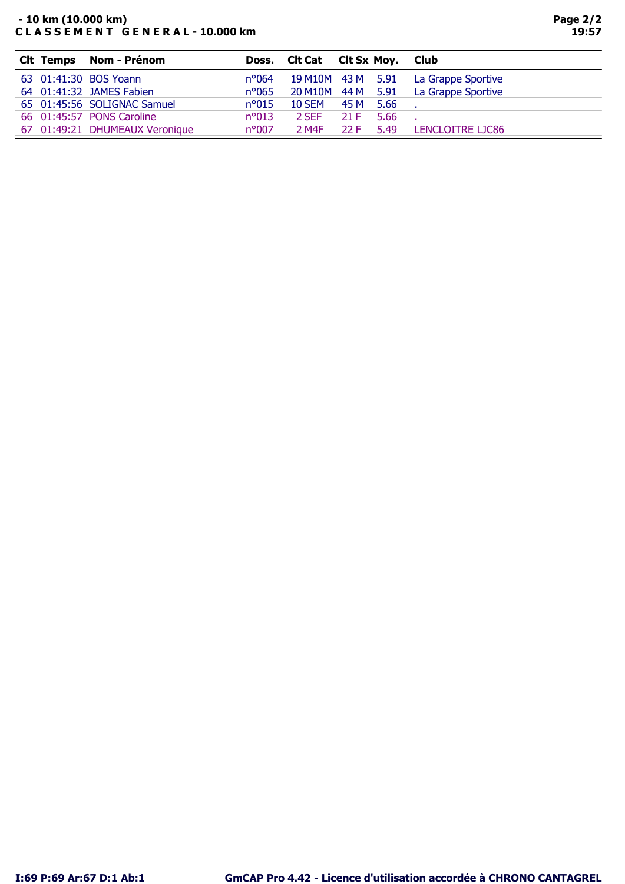## - 10 km (10.000 km) C L A S S E M E N T G E N E R A L - 10.000 km

| <b>Clt Temps Nom - Prénom</b>  |                |       |      |                                                                                                                         |
|--------------------------------|----------------|-------|------|-------------------------------------------------------------------------------------------------------------------------|
| 63 01:41:30 BOS Yoann          | $n^{\circ}064$ |       |      | La Grappe Sportive                                                                                                      |
| 64 01:41:32 JAMES Fabien       | $n^{\circ}065$ |       |      |                                                                                                                         |
| 65 01:45:56 SOLIGNAC Samuel    | $n^{\circ}015$ |       |      |                                                                                                                         |
| 66 01:45:57 PONS Caroline      | $n^{\circ}013$ | 2 SEF | 5.66 |                                                                                                                         |
| 67 01:49:21 DHUMEAUX Veronique | $n^{\circ}007$ | 2 M4F | 5.49 | LENCLOITRE LIC86                                                                                                        |
|                                |                |       | 22 F | Doss. Cit Cat Cit Sx Moy. Club<br>19 M10M 43 M 5.91<br>20 M10M 44 M 5.91 La Grappe Sportive<br>10 SEM 45 M 5.66<br>21 F |